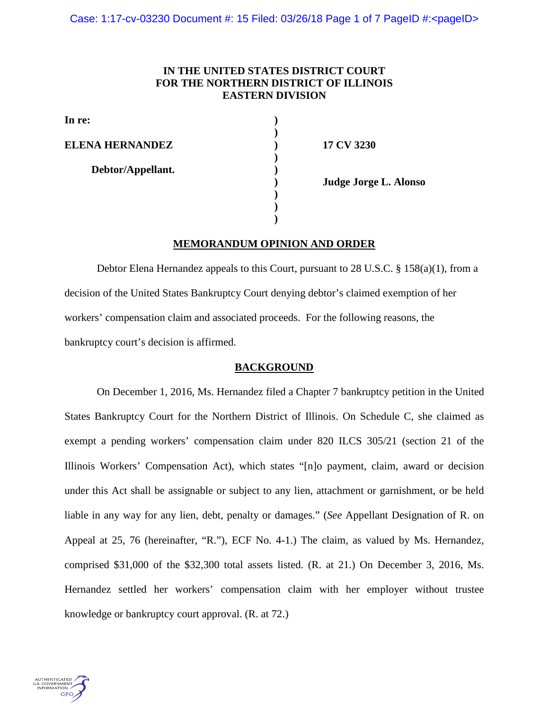# **IN THE UNITED STATES DISTRICT COURT FOR THE NORTHERN DISTRICT OF ILLINOIS EASTERN DIVISION**

**)**

**)**

**) ) )**

**In re: )**

**ELENA HERNANDEZ ) 17 CV 3230**

 **Debtor/Appellant. )**

**) Judge Jorge L. Alonso**

# **MEMORANDUM OPINION AND ORDER**

Debtor Elena Hernandez appeals to this Court, pursuant to 28 U.S.C. § 158(a)(1), from a decision of the United States Bankruptcy Court denying debtor's claimed exemption of her workers' compensation claim and associated proceeds. For the following reasons, the bankruptcy court's decision is affirmed.

### **BACKGROUND**

On December 1, 2016, Ms. Hernandez filed a Chapter 7 bankruptcy petition in the United States Bankruptcy Court for the Northern District of Illinois. On Schedule C, she claimed as exempt a pending workers' compensation claim under 820 ILCS 305/21 (section 21 of the Illinois Workers' Compensation Act), which states "[n]o payment, claim, award or decision under this Act shall be assignable or subject to any lien, attachment or garnishment, or be held liable in any way for any lien, debt, penalty or damages." (*See* Appellant Designation of R. on Appeal at 25, 76 (hereinafter, "R."), ECF No. 4-1.) The claim, as valued by Ms. Hernandez, comprised \$31,000 of the \$32,300 total assets listed. (R. at 21.) On December 3, 2016, Ms. Hernandez settled her workers' compensation claim with her employer without trustee knowledge or bankruptcy court approval. (R. at 72.)

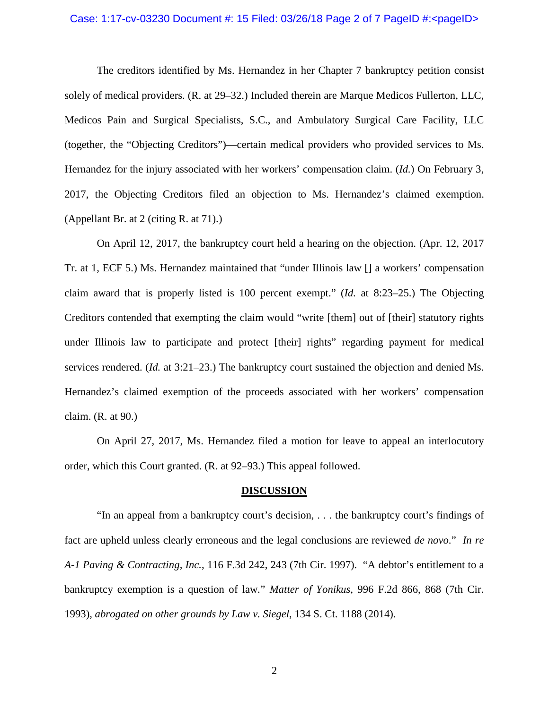## Case: 1:17-cv-03230 Document #: 15 Filed: 03/26/18 Page 2 of 7 PageID #:<pageID>

The creditors identified by Ms. Hernandez in her Chapter 7 bankruptcy petition consist solely of medical providers. (R. at 29–32.) Included therein are Marque Medicos Fullerton, LLC, Medicos Pain and Surgical Specialists, S.C., and Ambulatory Surgical Care Facility, LLC (together, the "Objecting Creditors")—certain medical providers who provided services to Ms. Hernandez for the injury associated with her workers' compensation claim. (*Id.*) On February 3, 2017, the Objecting Creditors filed an objection to Ms. Hernandez's claimed exemption. (Appellant Br. at 2 (citing R. at 71).)

On April 12, 2017, the bankruptcy court held a hearing on the objection. (Apr. 12, 2017 Tr. at 1, ECF 5.) Ms. Hernandez maintained that "under Illinois law [] a workers' compensation claim award that is properly listed is 100 percent exempt." (*Id.* at 8:23–25.) The Objecting Creditors contended that exempting the claim would "write [them] out of [their] statutory rights under Illinois law to participate and protect [their] rights" regarding payment for medical services rendered. (*Id.* at 3:21–23.) The bankruptcy court sustained the objection and denied Ms. Hernandez's claimed exemption of the proceeds associated with her workers' compensation claim. (R. at 90.)

On April 27, 2017, Ms. Hernandez filed a motion for leave to appeal an interlocutory order, which this Court granted. (R. at 92–93.) This appeal followed.

#### **DISCUSSION**

"In an appeal from a bankruptcy court's decision, . . . the bankruptcy court's findings of fact are upheld unless clearly erroneous and the legal conclusions are reviewed *de novo*." *In re A-1 Paving & Contracting, Inc.*, 116 F.3d 242, 243 (7th Cir. 1997). "A debtor's entitlement to a bankruptcy exemption is a question of law*.*" *Matter of Yonikus*, 996 F.2d 866, 868 (7th Cir. 1993), *abrogated on other grounds by Law v. Siegel*, 134 S. Ct. 1188 (2014).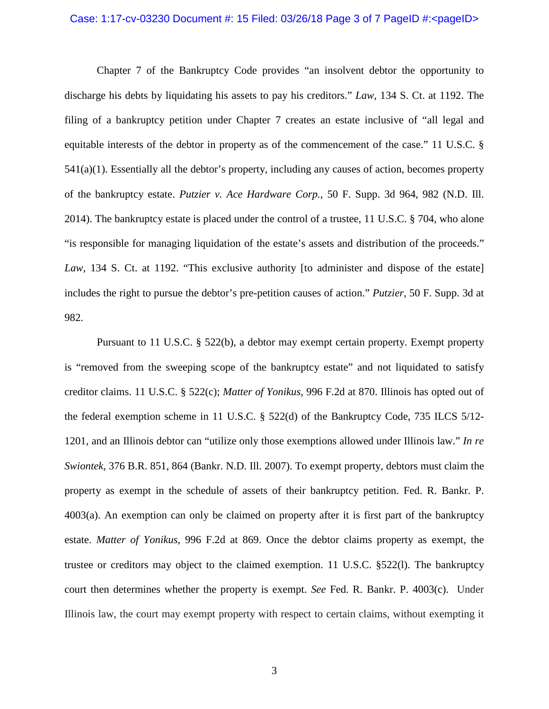## Case: 1:17-cv-03230 Document #: 15 Filed: 03/26/18 Page 3 of 7 PageID #:<pageID>

Chapter 7 of the Bankruptcy Code provides "an insolvent debtor the opportunity to discharge his debts by liquidating his assets to pay his creditors." *Law*, 134 S. Ct. at 1192. The filing of a bankruptcy petition under Chapter 7 creates an estate inclusive of "all legal and equitable interests of the debtor in property as of the commencement of the case." 11 U.S.C. § 541(a)(1). Essentially all the debtor's property, including any causes of action, becomes property of the bankruptcy estate. *Putzier v. Ace Hardware Corp.*, 50 F. Supp. 3d 964, 982 (N.D. Ill. 2014). The bankruptcy estate is placed under the control of a trustee, 11 U.S.C. § 704, who alone "is responsible for managing liquidation of the estate's assets and distribution of the proceeds." Law, 134 S. Ct. at 1192. "This exclusive authority [to administer and dispose of the estate] includes the right to pursue the debtor's pre-petition causes of action." *Putzier*, 50 F. Supp. 3d at 982.

Pursuant to 11 U.S.C. § 522(b), a debtor may exempt certain property. Exempt property is "removed from the sweeping scope of the bankruptcy estate" and not liquidated to satisfy creditor claims. 11 U.S.C. § 522(c); *Matter of Yonikus*, 996 F.2d at 870. Illinois has opted out of the federal exemption scheme in 11 U.S.C. § 522(d) of the Bankruptcy Code, 735 ILCS 5/12- 1201, and an Illinois debtor can "utilize only those exemptions allowed under Illinois law." *In re Swiontek*, 376 B.R. 851, 864 (Bankr. N.D. Ill. 2007). To exempt property, debtors must claim the property as exempt in the schedule of assets of their bankruptcy petition. Fed. R. Bankr. P. 4003(a). An exemption can only be claimed on property after it is first part of the bankruptcy estate. *Matter of Yonikus*, 996 F.2d at 869. Once the debtor claims property as exempt, the trustee or creditors may object to the claimed exemption. 11 U.S.C. §522(l). The bankruptcy court then determines whether the property is exempt. *See* Fed. R. Bankr. P. 4003(c). Under Illinois law, the court may exempt property with respect to certain claims, without exempting it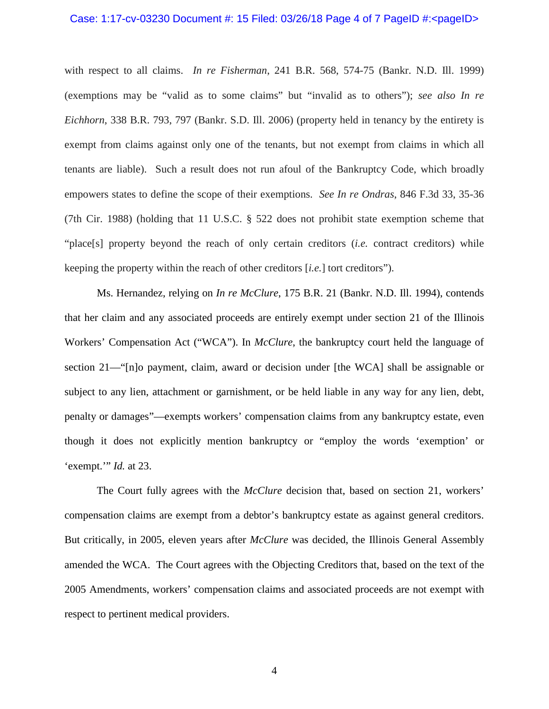#### Case: 1:17-cv-03230 Document #: 15 Filed: 03/26/18 Page 4 of 7 PageID #:<pageID>

with respect to all claims. *In re Fisherman*, 241 B.R. 568, 574-75 (Bankr. N.D. Ill. 1999) (exemptions may be "valid as to some claims" but "invalid as to others"); *see also In re Eichhorn*, 338 B.R. 793, 797 (Bankr. S.D. Ill. 2006) (property held in tenancy by the entirety is exempt from claims against only one of the tenants, but not exempt from claims in which all tenants are liable). Such a result does not run afoul of the Bankruptcy Code, which broadly empowers states to define the scope of their exemptions. *See In re Ondras*, 846 F.3d 33, 35-36 (7th Cir. 1988) (holding that 11 U.S.C. § 522 does not prohibit state exemption scheme that "place[s] property beyond the reach of only certain creditors (*i.e.* contract creditors) while keeping the property within the reach of other creditors [*i.e.*] tort creditors").

Ms. Hernandez, relying on *In re McClure*, 175 B.R. 21 (Bankr. N.D. Ill. 1994), contends that her claim and any associated proceeds are entirely exempt under section 21 of the Illinois Workers' Compensation Act ("WCA"). In *McClure*, the bankruptcy court held the language of section 21—"[n]o payment, claim, award or decision under [the WCA] shall be assignable or subject to any lien, attachment or garnishment, or be held liable in any way for any lien, debt, penalty or damages"—exempts workers' compensation claims from any bankruptcy estate, even though it does not explicitly mention bankruptcy or "employ the words 'exemption' or 'exempt.'" *Id.* at 23.

The Court fully agrees with the *McClure* decision that, based on section 21, workers' compensation claims are exempt from a debtor's bankruptcy estate as against general creditors. But critically, in 2005, eleven years after *McClure* was decided, the Illinois General Assembly amended the WCA. The Court agrees with the Objecting Creditors that, based on the text of the 2005 Amendments, workers' compensation claims and associated proceeds are not exempt with respect to pertinent medical providers.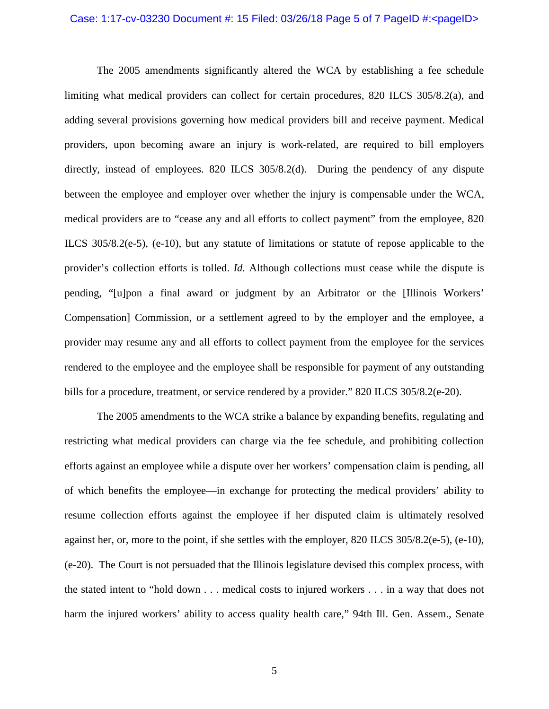## Case: 1:17-cv-03230 Document #: 15 Filed: 03/26/18 Page 5 of 7 PageID #:<pageID>

The 2005 amendments significantly altered the WCA by establishing a fee schedule limiting what medical providers can collect for certain procedures, 820 ILCS 305/8.2(a), and adding several provisions governing how medical providers bill and receive payment. Medical providers, upon becoming aware an injury is work-related, are required to bill employers directly, instead of employees. 820 ILCS 305/8.2(d). During the pendency of any dispute between the employee and employer over whether the injury is compensable under the WCA, medical providers are to "cease any and all efforts to collect payment" from the employee, 820 ILCS 305/8.2(e-5), (e-10), but any statute of limitations or statute of repose applicable to the provider's collection efforts is tolled. *Id.* Although collections must cease while the dispute is pending, "[u]pon a final award or judgment by an Arbitrator or the [Illinois Workers' Compensation] Commission, or a settlement agreed to by the employer and the employee, a provider may resume any and all efforts to collect payment from the employee for the services rendered to the employee and the employee shall be responsible for payment of any outstanding bills for a procedure, treatment, or service rendered by a provider." 820 ILCS 305/8.2(e-20).

The 2005 amendments to the WCA strike a balance by expanding benefits, regulating and restricting what medical providers can charge via the fee schedule, and prohibiting collection efforts against an employee while a dispute over her workers' compensation claim is pending, all of which benefits the employee—in exchange for protecting the medical providers' ability to resume collection efforts against the employee if her disputed claim is ultimately resolved against her, or, more to the point, if she settles with the employer, 820 ILCS 305/8.2(e-5), (e-10), (e-20). The Court is not persuaded that the Illinois legislature devised this complex process, with the stated intent to "hold down . . . medical costs to injured workers . . . in a way that does not harm the injured workers' ability to access quality health care," 94th Ill. Gen. Assem., Senate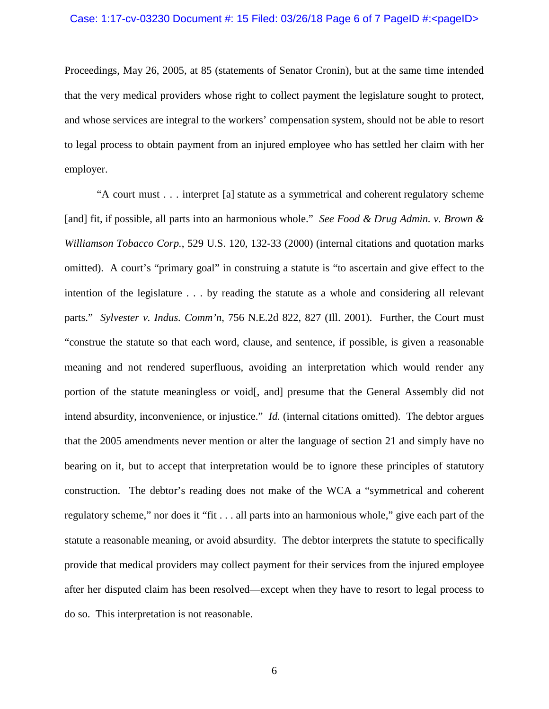Proceedings, May 26, 2005, at 85 (statements of Senator Cronin), but at the same time intended that the very medical providers whose right to collect payment the legislature sought to protect, and whose services are integral to the workers' compensation system, should not be able to resort to legal process to obtain payment from an injured employee who has settled her claim with her employer.

"A court must . . . interpret [a] statute as a symmetrical and coherent regulatory scheme [and] fit, if possible, all parts into an harmonious whole." *See Food & Drug Admin. v. Brown & Williamson Tobacco Corp.*, 529 U.S. 120, 132-33 (2000) (internal citations and quotation marks omitted). A court's "primary goal" in construing a statute is "to ascertain and give effect to the intention of the legislature . . . by reading the statute as a whole and considering all relevant parts." *Sylvester v. Indus. Comm'n*, 756 N.E.2d 822, 827 (Ill. 2001). Further, the Court must "construe the statute so that each word, clause, and sentence, if possible, is given a reasonable meaning and not rendered superfluous, avoiding an interpretation which would render any portion of the statute meaningless or void[, and] presume that the General Assembly did not intend absurdity, inconvenience, or injustice." *Id.* (internal citations omitted). The debtor argues that the 2005 amendments never mention or alter the language of section 21 and simply have no bearing on it, but to accept that interpretation would be to ignore these principles of statutory construction. The debtor's reading does not make of the WCA a "symmetrical and coherent regulatory scheme," nor does it "fit . . . all parts into an harmonious whole," give each part of the statute a reasonable meaning, or avoid absurdity. The debtor interprets the statute to specifically provide that medical providers may collect payment for their services from the injured employee after her disputed claim has been resolved—except when they have to resort to legal process to do so. This interpretation is not reasonable.